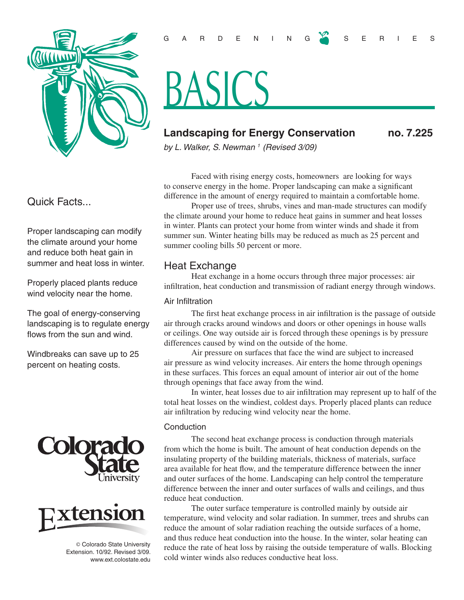

# Quick Facts...

Proper landscaping can modify the climate around your home and reduce both heat gain in summer and heat loss in winter.

Properly placed plants reduce wind velocity near the home.

The goal of energy-conserving landscaping is to regulate energy flows from the sun and wind.

Windbreaks can save up to 25 percent on heating costs.





© Colorado State University Extension. 10/92. Revised 3/09. www.ext.colostate.edu

## G A R D E N I N G S E R I E S

# BASICS

# **Landscaping for Energy Conservation no. 7.225**

*by L. Walker, S. Newman 1 (Revised 3/09)* 

Faced with rising energy costs, homeowners are looking for ways to conserve energy in the home. Proper landscaping can make a significant difference in the amount of energy required to maintain a comfortable home.

Proper use of trees, shrubs, vines and man-made structures can modify the climate around your home to reduce heat gains in summer and heat losses in winter. Plants can protect your home from winter winds and shade it from summer sun. Winter heating bills may be reduced as much as 25 percent and summer cooling bills 50 percent or more.

## Heat Exchange

Heat exchange in a home occurs through three major processes: air infiltration, heat conduction and transmission of radiant energy through windows.

#### Air Infiltration

The first heat exchange process in air infiltration is the passage of outside air through cracks around windows and doors or other openings in house walls or ceilings. One way outside air is forced through these openings is by pressure differences caused by wind on the outside of the home.

Air pressure on surfaces that face the wind are subject to increased air pressure as wind velocity increases. Air enters the home through openings in these surfaces. This forces an equal amount of interior air out of the home through openings that face away from the wind.

In winter, heat losses due to air infiltration may represent up to half of the total heat losses on the windiest, coldest days. Properly placed plants can reduce air infiltration by reducing wind velocity near the home.

#### **Conduction**

The second heat exchange process is conduction through materials from which the home is built. The amount of heat conduction depends on the insulating property of the building materials, thickness of materials, surface area available for heat flow, and the temperature difference between the inner and outer surfaces of the home. Landscaping can help control the temperature difference between the inner and outer surfaces of walls and ceilings, and thus reduce heat conduction.

The outer surface temperature is controlled mainly by outside air temperature, wind velocity and solar radiation. In summer, trees and shrubs can reduce the amount of solar radiation reaching the outside surfaces of a home, and thus reduce heat conduction into the house. In the winter, solar heating can reduce the rate of heat loss by raising the outside temperature of walls. Blocking cold winter winds also reduces conductive heat loss.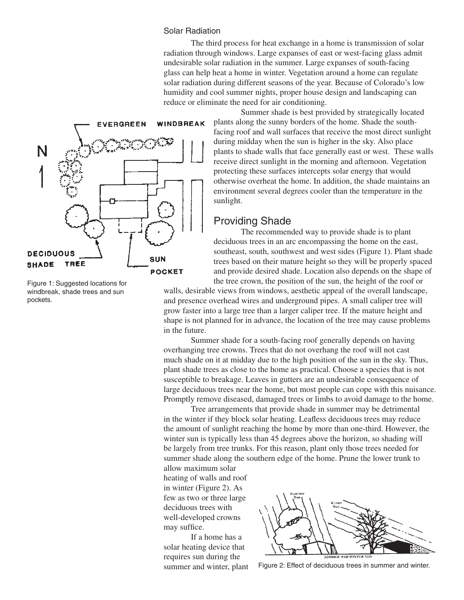#### Solar Radiation

The third process for heat exchange in a home is transmission of solar radiation through windows. Large expanses of east or west-facing glass admit undesirable solar radiation in the summer. Large expanses of south-facing glass can help heat a home in winter. Vegetation around a home can regulate solar radiation during different seasons of the year. Because of Colorado's low humidity and cool summer nights, proper house design and landscaping can reduce or eliminate the need for air conditioning.



Figure 1: Suggested locations for windbreak, shade trees and sun pockets.

Summer shade is best provided by strategically located plants along the sunny borders of the home. Shade the southfacing roof and wall surfaces that receive the most direct sunlight during midday when the sun is higher in the sky. Also place plants to shade walls that face generally east or west. These walls receive direct sunlight in the morning and afternoon. Vegetation protecting these surfaces intercepts solar energy that would otherwise overheat the home. In addition, the shade maintains an environment several degrees cooler than the temperature in the sunlight.

## Providing Shade

The recommended way to provide shade is to plant deciduous trees in an arc encompassing the home on the east, southeast, south, southwest and west sides (Figure 1). Plant shade trees based on their mature height so they will be properly spaced and provide desired shade. Location also depends on the shape of the tree crown, the position of the sun, the height of the roof or

walls, desirable views from windows, aesthetic appeal of the overall landscape, and presence overhead wires and underground pipes. A small caliper tree will grow faster into a large tree than a larger caliper tree. If the mature height and shape is not planned for in advance, the location of the tree may cause problems in the future.

Summer shade for a south-facing roof generally depends on having overhanging tree crowns. Trees that do not overhang the roof will not cast much shade on it at midday due to the high position of the sun in the sky. Thus, plant shade trees as close to the home as practical. Choose a species that is not susceptible to breakage. Leaves in gutters are an undesirable consequence of large deciduous trees near the home, but most people can cope with this nuisance. Promptly remove diseased, damaged trees or limbs to avoid damage to the home.

Tree arrangements that provide shade in summer may be detrimental in the winter if they block solar heating. Leafless deciduous trees may reduce the amount of sunlight reaching the home by more than one-third. However, the winter sun is typically less than 45 degrees above the horizon, so shading will be largely from tree trunks. For this reason, plant only those trees needed for summer shade along the southern edge of the home. Prune the lower trunk to

allow maximum solar heating of walls and roof in winter (Figure 2). As few as two or three large deciduous trees with well-developed crowns may suffice.

If a home has a solar heating device that requires sun during the summer and winter, plant



Figure 2: Effect of deciduous trees in summer and winter.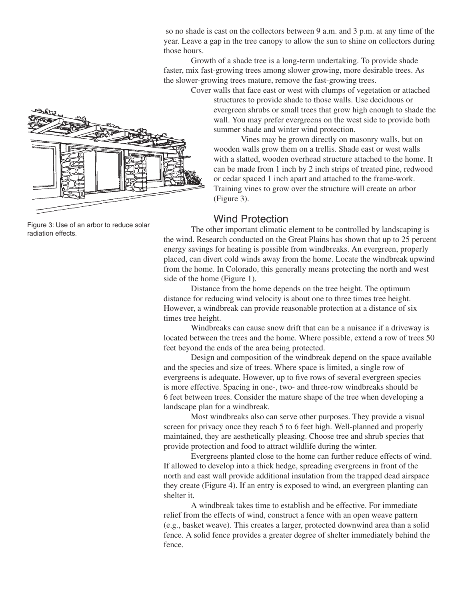so no shade is cast on the collectors between 9 a.m. and 3 p.m. at any time of the year. Leave a gap in the tree canopy to allow the sun to shine on collectors during those hours.

Growth of a shade tree is a long-term undertaking. To provide shade faster, mix fast-growing trees among slower growing, more desirable trees. As the slower-growing trees mature, remove the fast-growing trees.

Cover walls that face east or west with clumps of vegetation or attached structures to provide shade to those walls. Use deciduous or evergreen shrubs or small trees that grow high enough to shade the wall. You may prefer evergreens on the west side to provide both summer shade and winter wind protection.

Vines may be grown directly on masonry walls, but on wooden walls grow them on a trellis. Shade east or west walls with a slatted, wooden overhead structure attached to the home. It can be made from 1 inch by 2 inch strips of treated pine, redwood or cedar spaced 1 inch apart and attached to the frame-work. Training vines to grow over the structure will create an arbor (Figure 3).

## Wind Protection

The other important climatic element to be controlled by landscaping is the wind. Research conducted on the Great Plains has shown that up to 25 percent energy savings for heating is possible from windbreaks. An evergreen, properly placed, can divert cold winds away from the home. Locate the windbreak upwind from the home. In Colorado, this generally means protecting the north and west side of the home (Figure 1).

Distance from the home depends on the tree height. The optimum distance for reducing wind velocity is about one to three times tree height. However, a windbreak can provide reasonable protection at a distance of six times tree height.

Windbreaks can cause snow drift that can be a nuisance if a driveway is located between the trees and the home. Where possible, extend a row of trees 50 feet beyond the ends of the area being protected.

Design and composition of the windbreak depend on the space available and the species and size of trees. Where space is limited, a single row of evergreens is adequate. However, up to five rows of several evergreen species is more effective. Spacing in one-, two- and three-row windbreaks should be 6 feet between trees. Consider the mature shape of the tree when developing a landscape plan for a windbreak.

Most windbreaks also can serve other purposes. They provide a visual screen for privacy once they reach 5 to 6 feet high. Well-planned and properly maintained, they are aesthetically pleasing. Choose tree and shrub species that provide protection and food to attract wildlife during the winter.

Evergreens planted close to the home can further reduce effects of wind. If allowed to develop into a thick hedge, spreading evergreens in front of the north and east wall provide additional insulation from the trapped dead airspace they create (Figure 4). If an entry is exposed to wind, an evergreen planting can shelter it.

A windbreak takes time to establish and be effective. For immediate relief from the effects of wind, construct a fence with an open weave pattern (e.g., basket weave). This creates a larger, protected downwind area than a solid fence. A solid fence provides a greater degree of shelter immediately behind the fence.

Figure 3: Use of an arbor to reduce solar radiation effects.